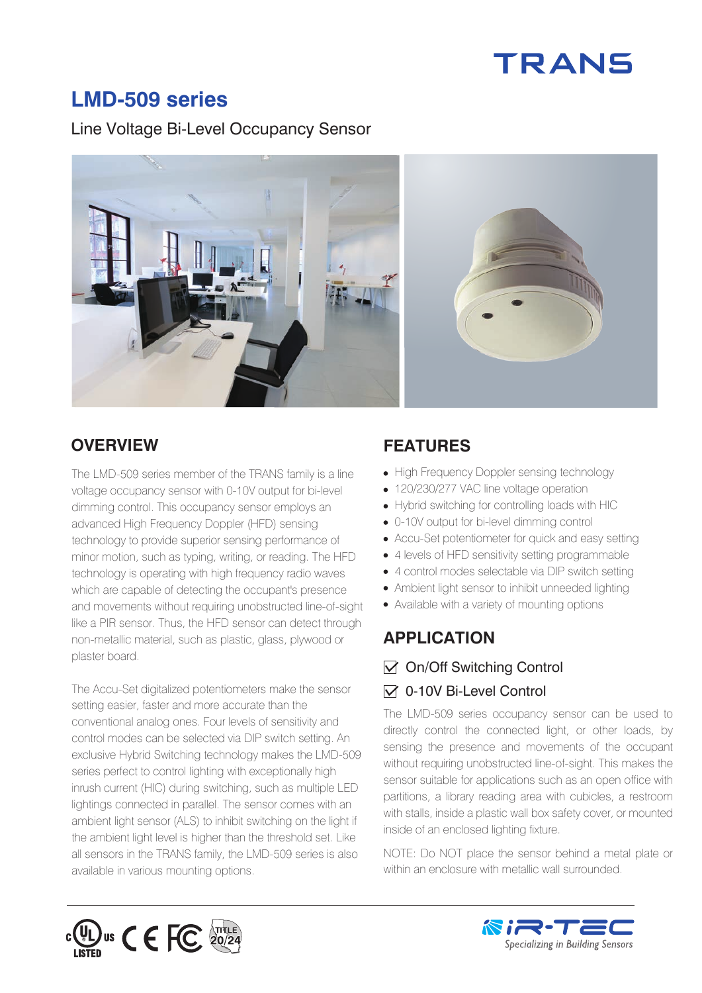# **TRANS**

# **LMD-509 series**

#### Line Voltage Bi-Level Occupancy Sensor



#### **OVERVIEW FEATURES**

The LMD-509 series member of the TRANS family is a line voltage occupancy sensor with 0-10V output for bi-level dimming control. This occupancy sensor employs an advanced High Frequency Doppler (HFD) sensing technology to provide superior sensing performance of minor motion, such as typing, writing, or reading. The HFD technology is operating with high frequency radio waves which are capable of detecting the occupant's presence and movements without requiring unobstructed line-of-sight like a PIR sensor. Thus, the HFD sensor can detect through non-metallic material, such as plastic, glass, plywood or plaster board.

The Accu-Set digitalized potentiometers make the sensor setting easier, faster and more accurate than the conventional analog ones. Four levels of sensitivity and control modes can be selected via DIP switch setting. An exclusive Hybrid Switching technology makes the LMD-509 series perfect to control lighting with exceptionally high inrush current (HIC) during switching, such as multiple LED lightings connected in parallel. The sensor comes with an ambient light sensor (ALS) to inhibit switching on the light if the ambient light level is higher than the threshold set. Like all sensors in the TRANS family, the LMD-509 series is also available in various mounting options.

- High Frequency Doppler sensing technology
- 120/230/277 VAC line voltage operation
- Hybrid switching for controlling loads with HIC
- 0-10V output for bi-level dimming control
- Accu-Set potentiometer for quick and easy setting
- 4 levels of HFD sensitivity setting programmable
- 4 control modes selectable via DIP switch setting
- Ambient light sensor to inhibit unneeded lighting
- Available with a variety of mounting options

#### **APPLICATION**

#### $\sqrt{}$  On/Off Switching Control

#### $\sqrt{ }$  0-10V Bi-Level Control

The LMD-509 series occupancy sensor can be used to directly control the connected light, or other loads, by sensing the presence and movements of the occupant without requiring unobstructed line-of-sight. This makes the sensor suitable for applications such as an open office with partitions, a library reading area with cubicles, a restroom with stalls, inside a plastic wall box safety cover, or mounted inside of an enclosed lighting fixture.

NOTE: Do NOT place the sensor behind a metal plate or within an enclosure with metallic wall surrounded.